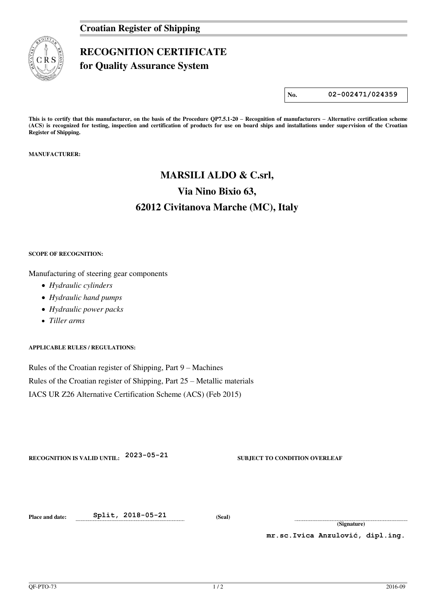

## **RECOGNITION CERTIFICATE**

**for Quality Assurance System** 

**No. 02-002471/024359**

**This is to certify that this manufacturer, on the basis of the Procedure QP7.5.1-20 – Recognition of manufacturers – Alternative certification scheme (ACS) is recognized for testing, inspection and certification of products for use on board ships and installations under supervision of the Croatian Register of Shipping.** 

**MANUFACTURER:** 

# **MARSILI ALDO & C.srl, Via Nino Bixio 63, 62012 Civitanova Marche (MC), Italy**

### **SCOPE OF RECOGNITION:**

Manufacturing of steering gear components

- *Hydraulic cylinders*
- *Hydraulic hand pumps*
- *Hydraulic power packs*
- *Tiller arms*

**APPLICABLE RULES / REGULATIONS:** 

Rules of the Croatian register of Shipping, Part 9 – Machines Rules of the Croatian register of Shipping, Part 25 – Metallic materials IACS UR Z26 Alternative Certification Scheme (ACS) (Feb 2015)

**RECOGNITION IS VALID UNTIL: 2023-05-21 SUBJECT TO CONDITION OVERLEAF** 

**Place and date: Split, 2018-05-21 (Seal)** 

**(Signature)** 

**mr.sc.Ivica Anzulović, dipl.ing.**